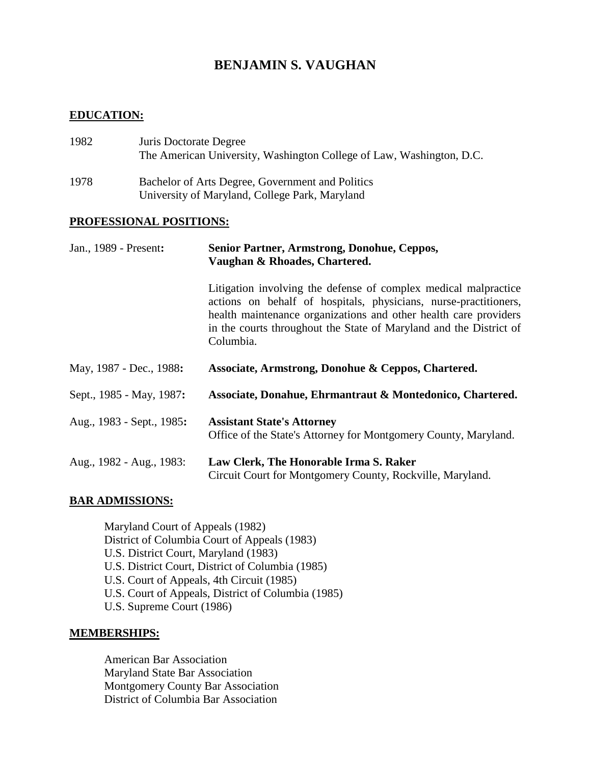# **BENJAMIN S. VAUGHAN**

## **EDUCATION:**

| 1982 | Juris Doctorate Degree<br>The American University, Washington College of Law, Washington, D.C.     |
|------|----------------------------------------------------------------------------------------------------|
| 1978 | Bachelor of Arts Degree, Government and Politics<br>University of Maryland, College Park, Maryland |

#### **PROFESSIONAL POSITIONS:**

| Jan., 1989 - Present:     | Senior Partner, Armstrong, Donohue, Ceppos,<br>Vaughan & Rhoades, Chartered.                                                                                                                                                                                                               |  |  |
|---------------------------|--------------------------------------------------------------------------------------------------------------------------------------------------------------------------------------------------------------------------------------------------------------------------------------------|--|--|
|                           | Litigation involving the defense of complex medical malpractice<br>actions on behalf of hospitals, physicians, nurse-practitioners,<br>health maintenance organizations and other health care providers<br>in the courts throughout the State of Maryland and the District of<br>Columbia. |  |  |
| May, 1987 - Dec., 1988:   | Associate, Armstrong, Donohue & Ceppos, Chartered.                                                                                                                                                                                                                                         |  |  |
| Sept., 1985 - May, 1987:  | Associate, Donahue, Ehrmantraut & Montedonico, Chartered.                                                                                                                                                                                                                                  |  |  |
| Aug., 1983 - Sept., 1985: | <b>Assistant State's Attorney</b><br>Office of the State's Attorney for Montgomery County, Maryland.                                                                                                                                                                                       |  |  |
| Aug., 1982 - Aug., 1983:  | Law Clerk, The Honorable Irma S. Raker<br>Circuit Court for Montgomery County, Rockville, Maryland.                                                                                                                                                                                        |  |  |

# **BAR ADMISSIONS:**

Maryland Court of Appeals (1982) District of Columbia Court of Appeals (1983) U.S. District Court, Maryland (1983) U.S. District Court, District of Columbia (1985) U.S. Court of Appeals, 4th Circuit (1985) U.S. Court of Appeals, District of Columbia (1985) U.S. Supreme Court (1986)

#### **MEMBERSHIPS:**

American Bar Association Maryland State Bar Association Montgomery County Bar Association District of Columbia Bar Association